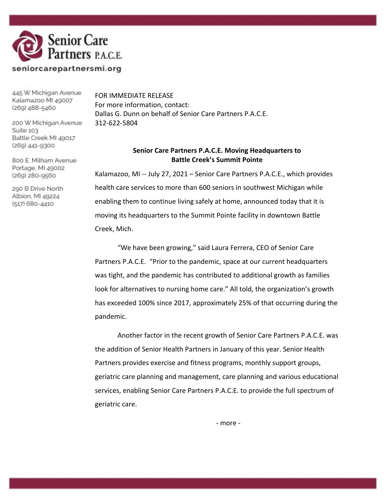

445 W Michigan Avenue Kalamazoo MI 49007 (269) 488-5460

200 W Michigan Avenue

FOR IMMEDIATE RELEASE For more information, contact: Dallas G. Dunn on behalf of Senior Care Partners P.A.C.E. 312-622-5804

> **Senior Care Partners P.A.C.E. Moving Headquarters to Battle Creek's Summit Pointe**

Kalamazoo, MI -- July 27, 2021 – Senior Care Partners P.A.C.E., which provides health care services to more than 600 seniors in southwest Michigan while enabling them to continue living safely at home, announced today that it is moving its headquarters to the Summit Pointe facility in downtown Battle Creek, Mich.

"We have been growing," said Laura Ferrera, CEO of Senior Care Partners P.A.C.E. "Prior to the pandemic, space at our current headquarters was tight, and the pandemic has contributed to additional growth as families look for alternatives to nursing home care." All told, the organization's growth has exceeded 100% since 2017, approximately 25% of that occurring during the pandemic.

Another factor in the recent growth of Senior Care Partners P.A.C.E. was the addition of Senior Health Partners in January of this year. Senior Health Partners provides exercise and fitness programs, monthly support groups, geriatric care planning and management, care planning and various educational services, enabling Senior Care Partners P.A.C.E. to provide the full spectrum of geriatric care.

Suite 103 Battle Creek MI 49017 (269) 441-9300

800 E. Milham Avenue Portage, MI 49002 (269) 280-9560

290 B Drive North Albion, MI 49224 (517) 680-4410

- more -